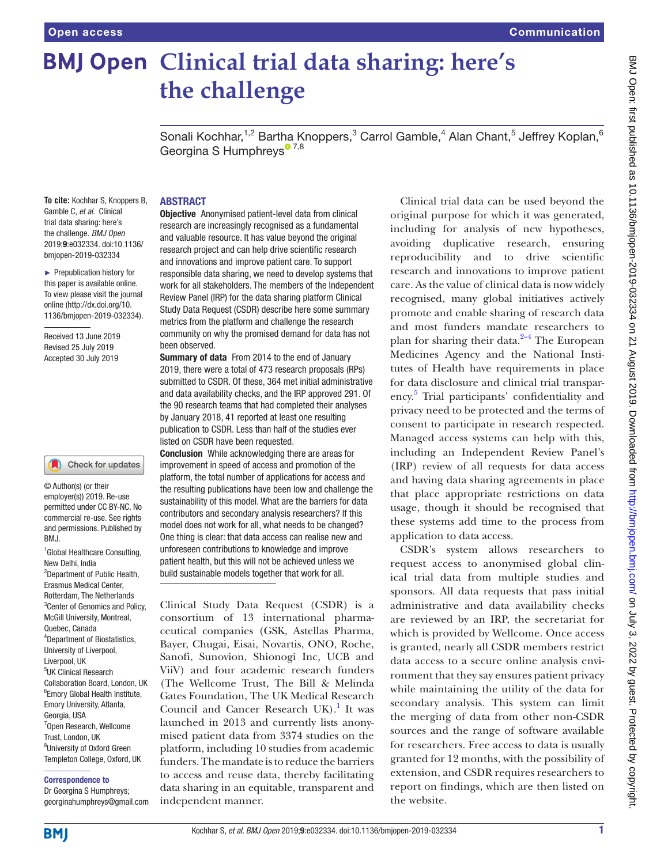# **BMJ Open Clinical trial data sharing: here's the challenge**

Sonali Kochhar,<sup>1,2</sup> Bartha Knoppers,<sup>3</sup> Carrol Gamble,<sup>4</sup> Alan Chant,<sup>5</sup> Jeffrey Koplan,<sup>6</sup> Georgina S Humphrey[s](http://orcid.org/0000-0001-9947-0034)<sup> $27,8$ </sup>

#### **To cite:** Kochhar S, Knoppers B, Gamble C, *et al*. Clinical trial data sharing: here's the challenge. *BMJ Open* 2019;9:e032334. doi:10.1136/ bmjopen-2019-032334

► Prepublication history for this paper is available online. To view please visit the journal online [\(http://dx.doi.org/10.](http://dx.doi.org/10.1136/bmjopen-2016-014238).) [1136/bmjopen-2019-032334\).](http://dx.doi.org/10.1136/bmjopen-2016-014238).)

Received 13 June 2019 Revised 25 July 2019 Accepted 30 July 2019

### Check for updates

© Author(s) (or their employer(s)) 2019. Re-use permitted under CC BY-NC. No commercial re-use. See rights and permissions. Published by BMJ.

<sup>1</sup> Global Healthcare Consulting, New Delhi, India 2 Department of Public Health, Erasmus Medical Center, Rotterdam, The Netherlands 3 Center of Genomics and Policy, McGill University, Montreal, Quebec, Canada 4 Department of Biostatistics, University of Liverpool, Liverpool, UK 5 UK Clinical Research Collaboration Board, London, UK 6 Emory Global Health Institute, Emory University, Atlanta, Georgia, USA 7 Open Research, Wellcome Trust, London, UK <sup>8</sup>University of Oxford Green Templeton College, Oxford, UK

#### Correspondence to

Dr Georgina S Humphreys; georginahumphreys@gmail.com

## **ABSTRACT**

Objective Anonymised patient-level data from clinical research are increasingly recognised as a fundamental and valuable resource. It has value beyond the original research project and can help drive scientific research and innovations and improve patient care. To support responsible data sharing, we need to develop systems that work for all stakeholders. The members of the Independent Review Panel (IRP) for the data sharing platform Clinical Study Data Request (CSDR) describe here some summary metrics from the platform and challenge the research community on why the promised demand for data has not been observed.

Summary of data From 2014 to the end of January 2019, there were a total of 473 research proposals (RPs) submitted to CSDR. Of these, 364 met initial administrative and data availability checks, and the IRP approved 291. Of the 90 research teams that had completed their analyses by January 2018, 41 reported at least one resulting publication to CSDR. Less than half of the studies ever listed on CSDR have been requested.

Conclusion While acknowledging there are areas for improvement in speed of access and promotion of the platform, the total number of applications for access and the resulting publications have been low and challenge the sustainability of this model. What are the barriers for data contributors and secondary analysis researchers? If this model does not work for all, what needs to be changed? One thing is clear: that data access can realise new and unforeseen contributions to knowledge and improve patient health, but this will not be achieved unless we build sustainable models together that work for all.

Clinical Study Data Request (CSDR) is a consortium of 13 international pharmaceutical companies (GSK, Astellas Pharma, Bayer, Chugai, Eisai, Novartis, ONO, Roche, Sanofi, Sunovion, Shionogi Inc, UCB and ViiV) and four academic research funders (The Wellcome Trust, The Bill & Melinda Gates Foundation, The UK Medical Research Council and Cancer Research UK).<sup>[1](#page-3-0)</sup> It was launched in 2013 and currently lists anonymised patient data from 3374 studies on the platform, including 10 studies from academic funders. The mandate is to reduce the barriers to access and reuse data, thereby facilitating data sharing in an equitable, transparent and independent manner.

Clinical trial data can be used beyond the original purpose for which it was generated, including for analysis of new hypotheses, avoiding duplicative research, ensuring reproducibility and to drive scientific research and innovations to improve patient care. As the value of clinical data is now widely recognised, many global initiatives actively promote and enable sharing of research data and most funders mandate researchers to plan for sharing their data. $2-4$  The European Medicines Agency and the National Institutes of Health have requirements in place for data disclosure and clinical trial transparency. [5](#page-3-2) Trial participants' confidentiality and privacy need to be protected and the terms of consent to participate in research respected. Managed access systems can help with this, including an Independent Review Panel's (IRP) review of all requests for data access and having data sharing agreements in place that place appropriate restrictions on data usage, though it should be recognised that these systems add time to the process from application to data access.

CSDR's system allows researchers to request access to anonymised global clinical trial data from multiple studies and sponsors. All data requests that pass initial administrative and data availability checks are reviewed by an IRP, the secretariat for which is provided by Wellcome. Once access is granted, nearly all CSDR members restrict data access to a secure online analysis environment that they say ensures patient privacy while maintaining the utility of the data for secondary analysis. This system can limit the merging of data from other non-CSDR sources and the range of software available for researchers. Free access to data is usually granted for 12 months, with the possibility of extension, and CSDR requires researchers to report on findings, which are then listed on the website.

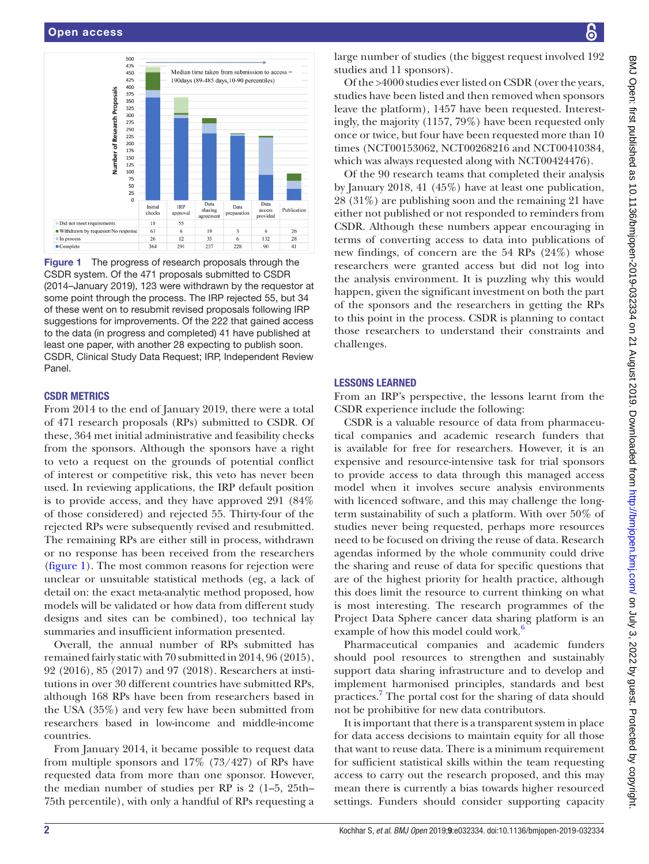

<span id="page-1-0"></span>

## CSDR metrics

From 2014 to the end of January 2019, there were a total of 471 research proposals (RPs) submitted to CSDR. Of these, 364 met initial administrative and feasibility checks from the sponsors. Although the sponsors have a right to veto a request on the grounds of potential conflict of interest or competitive risk, this veto has never been used. In reviewing applications, the IRP default position is to provide access, and they have approved 291 (84% of those considered) and rejected 55. Thirty-four of the rejected RPs were subsequently revised and resubmitted. The remaining RPs are either still in process, withdrawn or no response has been received from the researchers ([figure](#page-1-0) 1). The most common reasons for rejection were unclear or unsuitable statistical methods (eg, a lack of detail on: the exact meta-analytic method proposed, how models will be validated or how data from different study designs and sites can be combined), too technical lay summaries and insufficient information presented.

Overall, the annual number of RPs submitted has remained fairly static with 70 submitted in 2014, 96 (2015), 92 (2016), 85 (2017) and 97 (2018). Researchers at institutions in over 30 different countries have submitted RPs, although 168 RPs have been from researchers based in the USA (35%) and very few have been submitted from researchers based in low-income and middle-income countries.

From January 2014, it became possible to request data from multiple sponsors and  $17\%$  (73/427) of RPs have requested data from more than one sponsor. However, the median number of studies per RP is 2 (1–5, 25th– 75th percentile), with only a handful of RPs requesting a

large number of studies (the biggest request involved 192 studies and 11 sponsors).

Of the >4000 studies ever listed on CSDR (over the years, studies have been listed and then removed when sponsors leave the platform), 1457 have been requested. Interestingly, the majority (1157, 79%) have been requested only once or twice, but four have been requested more than 10 times (NCT00153062, NCT00268216 and NCT00410384, which was always requested along with NCT00424476).

Of the 90 research teams that completed their analysis by January 2018, 41 (45%) have at least one publication, 28 (31%) are publishing soon and the remaining 21 have either not published or not responded to reminders from CSDR. Although these numbers appear encouraging in terms of converting access to data into publications of new findings, of concern are the 54 RPs (24%) whose researchers were granted access but did not log into the analysis environment. It is puzzling why this would happen, given the significant investment on both the part of the sponsors and the researchers in getting the RPs to this point in the process. CSDR is planning to contact those researchers to understand their constraints and challenges.

## Lessons learned

From an IRP's perspective, the lessons learnt from the CSDR experience include the following:

CSDR is a valuable resource of data from pharmaceutical companies and academic research funders that is available for free for researchers. However, it is an expensive and resource-intensive task for trial sponsors to provide access to data through this managed access model when it involves secure analysis environments with licenced software, and this may challenge the longterm sustainability of such a platform. With over 50% of studies never being requested, perhaps more resources need to be focused on driving the reuse of data. Research agendas informed by the whole community could drive the sharing and reuse of data for specific questions that are of the highest priority for health practice, although this does limit the resource to current thinking on what is most interesting. The research programmes of the Project Data Sphere cancer data sharing platform is an example of how this model could work.<sup>6</sup>

Pharmaceutical companies and academic funders should pool resources to strengthen and sustainably support data sharing infrastructure and to develop and implement harmonised principles, standards and best practices.[7](#page-3-4) The portal cost for the sharing of data should not be prohibitive for new data contributors.

It is important that there is a transparent system in place for data access decisions to maintain equity for all those that want to reuse data. There is a minimum requirement for sufficient statistical skills within the team requesting access to carry out the research proposed, and this may mean there is currently a bias towards higher resourced settings. Funders should consider supporting capacity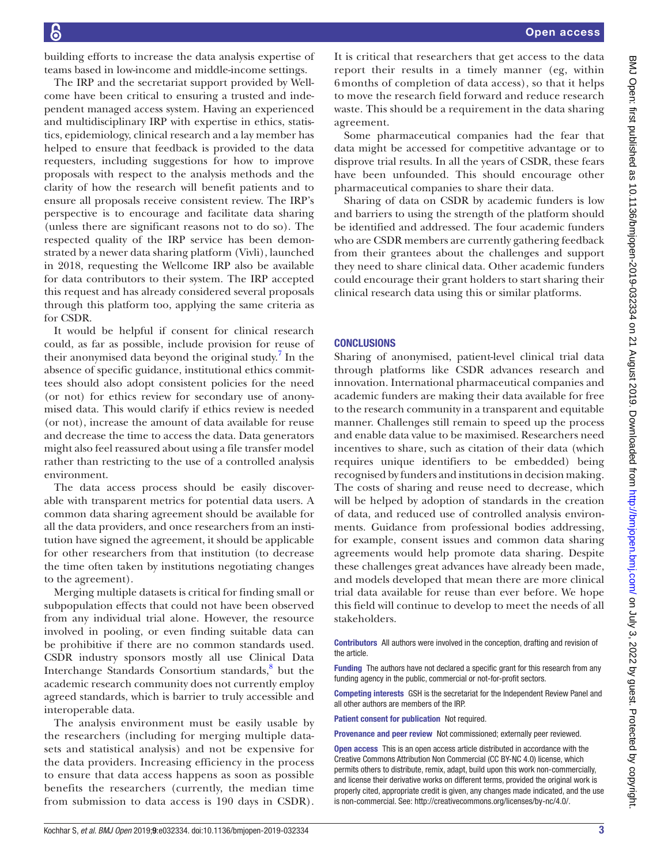building efforts to increase the data analysis expertise of teams based in low-income and middle-income settings.

The IRP and the secretariat support provided by Wellcome have been critical to ensuring a trusted and independent managed access system. Having an experienced and multidisciplinary IRP with expertise in ethics, statistics, epidemiology, clinical research and a lay member has helped to ensure that feedback is provided to the data requesters, including suggestions for how to improve proposals with respect to the analysis methods and the clarity of how the research will benefit patients and to ensure all proposals receive consistent review. The IRP's perspective is to encourage and facilitate data sharing (unless there are significant reasons not to do so). The respected quality of the IRP service has been demonstrated by a newer data sharing platform (Vivli), launched in 2018, requesting the Wellcome IRP also be available for data contributors to their system. The IRP accepted this request and has already considered several proposals through this platform too, applying the same criteria as for CSDR.

It would be helpful if consent for clinical research could, as far as possible, include provision for reuse of their anonymised data beyond the original study.<sup>7</sup> In the absence of specific guidance, institutional ethics committees should also adopt consistent policies for the need (or not) for ethics review for secondary use of anonymised data. This would clarify if ethics review is needed (or not), increase the amount of data available for reuse and decrease the time to access the data. Data generators might also feel reassured about using a file transfer model rather than restricting to the use of a controlled analysis environment.

The data access process should be easily discoverable with transparent metrics for potential data users. A common data sharing agreement should be available for all the data providers, and once researchers from an institution have signed the agreement, it should be applicable for other researchers from that institution (to decrease the time often taken by institutions negotiating changes to the agreement).

Merging multiple datasets is critical for finding small or subpopulation effects that could not have been observed from any individual trial alone. However, the resource involved in pooling, or even finding suitable data can be prohibitive if there are no common standards used. CSDR industry sponsors mostly all use Clinical Data Interchange Standards Consortium standards,<sup>8</sup> but the academic research community does not currently employ agreed standards, which is barrier to truly accessible and interoperable data.

The analysis environment must be easily usable by the researchers (including for merging multiple datasets and statistical analysis) and not be expensive for the data providers. Increasing efficiency in the process to ensure that data access happens as soon as possible benefits the researchers (currently, the median time from submission to data access is 190 days in CSDR).

It is critical that researchers that get access to the data report their results in a timely manner (eg, within 6 months of completion of data access), so that it helps to move the research field forward and reduce research waste. This should be a requirement in the data sharing agreement.

Some pharmaceutical companies had the fear that data might be accessed for competitive advantage or to disprove trial results. In all the years of CSDR, these fears have been unfounded. This should encourage other pharmaceutical companies to share their data.

Sharing of data on CSDR by academic funders is low and barriers to using the strength of the platform should be identified and addressed. The four academic funders who are CSDR members are currently gathering feedback from their grantees about the challenges and support they need to share clinical data. Other academic funders could encourage their grant holders to start sharing their clinical research data using this or similar platforms.

# **CONCLUSIONS**

Sharing of anonymised, patient-level clinical trial data through platforms like CSDR advances research and innovation. International pharmaceutical companies and academic funders are making their data available for free to the research community in a transparent and equitable manner. Challenges still remain to speed up the process and enable data value to be maximised. Researchers need incentives to share, such as citation of their data (which requires unique identifiers to be embedded) being recognised by funders and institutions in decision making. The costs of sharing and reuse need to decrease, which will be helped by adoption of standards in the creation of data, and reduced use of controlled analysis environments. Guidance from professional bodies addressing, for example, consent issues and common data sharing agreements would help promote data sharing. Despite these challenges great advances have already been made, and models developed that mean there are more clinical trial data available for reuse than ever before. We hope this field will continue to develop to meet the needs of all stakeholders.

Contributors All authors were involved in the conception, drafting and revision of the article.

Funding The authors have not declared a specific grant for this research from any funding agency in the public, commercial or not-for-profit sectors.

Competing interests GSH is the secretariat for the Independent Review Panel and all other authors are members of the IRP.

Patient consent for publication Not required.

Provenance and peer review Not commissioned; externally peer reviewed.

Open access This is an open access article distributed in accordance with the Creative Commons Attribution Non Commercial (CC BY-NC 4.0) license, which permits others to distribute, remix, adapt, build upon this work non-commercially, and license their derivative works on different terms, provided the original work is properly cited, appropriate credit is given, any changes made indicated, and the use is non-commercial. See: [http://creativecommons.org/licenses/by-nc/4.0/.](http://creativecommons.org/licenses/by-nc/4.0/)